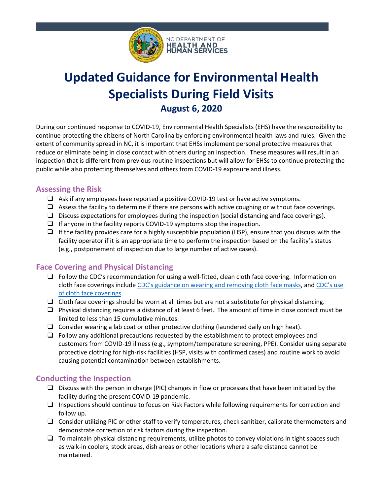

# **Updated Guidance for Environmental Health Specialists During Field Visits August 6, 2020**

During our continued response to COVID-19, Environmental Health Specialists (EHS) have the responsibility to continue protecting the citizens of North Carolina by enforcing environmental health laws and rules. Given the extent of community spread in NC, it is important that EHSs implement personal protective measures that reduce or eliminate being in close contact with others during an inspection. These measures will result in an inspection that is different from previous routine inspections but will allow for EHSs to continue protecting the public while also protecting themselves and others from COVID-19 exposure and illness.

# **Assessing the Risk**

- $\Box$  Ask if any employees have reported a positive COVID-19 test or have active symptoms.
- $\Box$  Assess the facility to determine if there are persons with active coughing or without face coverings.
- $\Box$  Discuss expectations for employees during the inspection (social distancing and face coverings).
- $\Box$  If anyone in the facility reports COVID-19 symptoms stop the inspection.
- $\Box$  If the facility provides care for a highly susceptible population (HSP), ensure that you discuss with the facility operator if it is an appropriate time to perform the inspection based on the facility's status (e.g., postponement of inspection due to large number of active cases).

# **Face Covering and Physical Distancing**

- $\Box$  Follow the CDC's recommendation for using a well-fitted, clean cloth face covering. Information on cloth face coverings include CDC's guidance on wearing and removing cloth face masks, and CDC's use of cloth face coverings.
- $\Box$  Cloth face coverings should be worn at all times but are not a substitute for physical distancing.
- $\Box$  Physical distancing requires a distance of at least 6 feet. The amount of time in close contact must be limited to less than 15 cumulative minutes.
- $\Box$  Consider wearing a lab coat or other protective clothing (laundered daily on high heat).
- $\Box$  Follow any additional precautions requested by the establishment to protect employees and customers from COVID-19 illness (e.g., symptom/temperature screening, PPE). Consider using separate protective clothing for high-risk facilities (HSP, visits with confirmed cases) and routine work to avoid causing potential contamination between establishments.

# **Conducting the Inspection**

- $\Box$  Discuss with the person in charge (PIC) changes in flow or processes that have been initiated by the facility during the present COVID-19 pandemic.
- $\Box$  Inspections should continue to focus on Risk Factors while following requirements for correction and follow up.
- $\Box$  Consider utilizing PIC or other staff to verify temperatures, check sanitizer, calibrate thermometers and demonstrate correction of risk factors during the inspection.
- $\Box$  To maintain physical distancing requirements, utilize photos to convey violations in tight spaces such as walk-in coolers, stock areas, dish areas or other locations where a safe distance cannot be maintained.